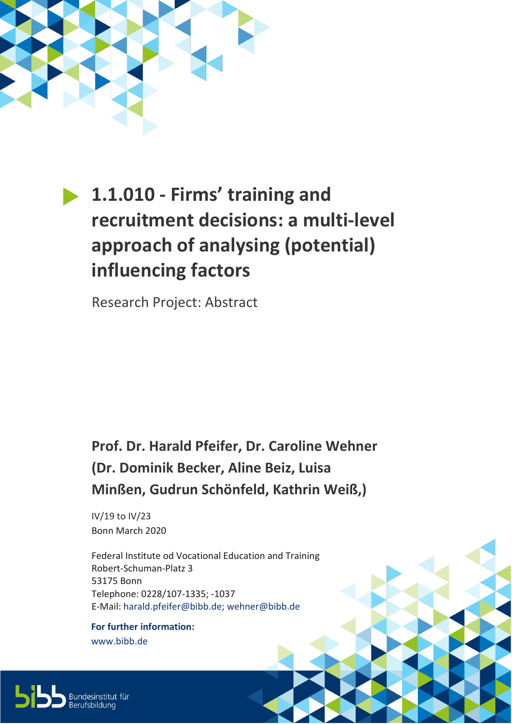

## **1.1.010 - Firms' training and recruitment decisions: a multi-level approach of analysing (potential) influencing factors**

Research Project: Abstract

## **Prof. Dr. Harald Pfeifer, Dr. Caroline Wehner (Dr. Dominik Becker, Aline Beiz, Luisa Minßen, Gudrun Schönfeld, Kathrin Weiß,)**

IV/19 to IV/23 Bonn March 2020

Federal Institute od Vocational Education and Training Robert-Schuman-Platz 3 53175 Bonn Telephone: 0228/107-1335; -1037 E-Mail: [harald.pfeifer@bibb.de;](mailto:harald.pfeifer@bibb.de) wehner@bibb.de

**For further information:** [www.bibb.de](http://www.bibb.de/)

Bundesinstitut für<br>Berufsbildung